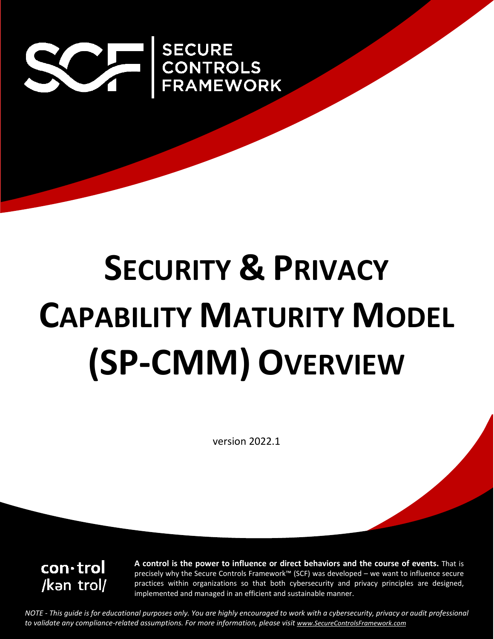

# **SECURITY & PRIVACY CAPABILITY MATURITY MODEL (SP-CMM) OVERVIEW**

version 2022.1

con·trol /kan trol/ **A control is the power to influence or direct behaviors and the course of events.** That is precisely why the Secure Controls Framework™ (SCF) was developed – we want to influence secure practices within organizations so that both cybersecurity and privacy principles are designed, implemented and managed in an efficient and sustainable manner.

*NOTE - This guide is for educational purposes only. You are highly encouraged to work with a cybersecurity, privacy or audit professional to validate any compliance-related assumptions. For more information, please visit www.SecureControlsFramework.com*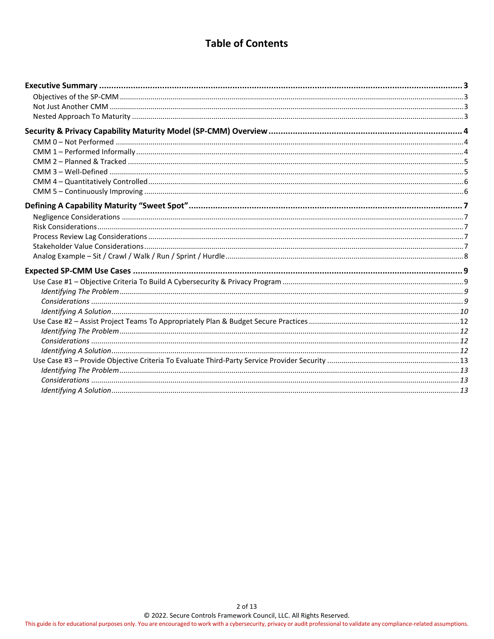# **Table of Contents**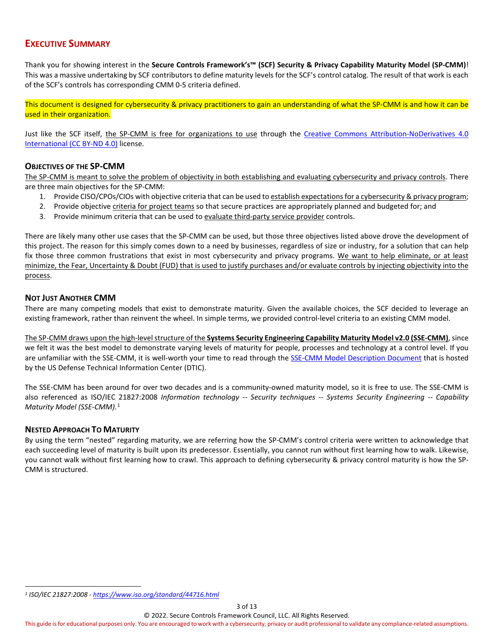# <span id="page-2-0"></span>**EXECUTIVE SUMMARY**

Thank you for showing interest in the **Secure Controls Framework's™ (SCF) Security & Privacy Capability Maturity Model (SP-CMM)**! This was a massive undertaking by SCF contributors to define maturity levels for the SCF's control catalog. The result of that work is each of the SCF's controls has corresponding CMM 0-5 criteria defined.

This document is designed for cybersecurity & privacy practitioners to gain an understanding of what the SP-CMM is and how it can be used in their organization.

Just like the SCF itself, the SP-CMM is free for organizations to use through the [Creative Commons Attribution-NoDerivatives 4.0](https://creativecommons.org/licenses/by-nd/4.0/)  [International \(CC BY-ND 4.0\)](https://creativecommons.org/licenses/by-nd/4.0/) license.

## <span id="page-2-1"></span>**OBJECTIVES OF THE SP-CMM**

The SP-CMM is meant to solve the problem of objectivity in both establishing and evaluating cybersecurity and privacy controls. There are three main objectives for the SP-CMM:

- 1. Provide CISO/CPOs/CIOs with objective criteria that can be used to establish expectations for a cybersecurity & privacy program;
- 2. Provide objective criteria for project teams so that secure practices are appropriately planned and budgeted for; and
- 3. Provide minimum criteria that can be used to evaluate third-party service provider controls.

There are likely many other use cases that the SP-CMM can be used, but those three objectives listed above drove the development of this project. The reason for this simply comes down to a need by businesses, regardless of size or industry, for a solution that can help fix those three common frustrations that exist in most cybersecurity and privacy programs. We want to help eliminate, or at least minimize, the Fear, Uncertainty & Doubt (FUD) that is used to justify purchases and/or evaluate controls by injecting objectivity into the process.

## <span id="page-2-2"></span>**NOT JUST ANOTHER CMM**

There are many competing models that exist to demonstrate maturity. Given the available choices, the SCF decided to leverage an existing framework, rather than reinvent the wheel. In simple terms, we provided control-level criteria to an existing CMM model.

The SP-CMM draws upon the high-level structure of the **Systems Security Engineering Capability Maturity Model v2.0 (SSE-CMM)**, since we felt it was the best model to demonstrate varying levels of maturity for people, processes and technology at a control level. If you are unfamiliar with the SSE-CMM, it is well-worth your time to read through th[e SSE-CMM Model Description Document](https://apps.dtic.mil/dtic/tr/fulltext/u2/a393329.pdf) that is hosted by the US Defense Technical Information Center (DTIC).

The SSE-CMM has been around for over two decades and is a community-owned maturity model, so it is free to use. The SSE-CMM is also referenced as ISO/IEC 21827:2008 *Information technology -- Security techniques -- Systems Security Engineering -- Capability Maturity Model (SSE-CMM).* [1](#page-2-4)

#### <span id="page-2-3"></span>**NESTED APPROACH TO MATURITY**

By using the term "nested" regarding maturity, we are referring how the SP-CMM's control criteria were written to acknowledge that each succeeding level of maturity is built upon its predecessor. Essentially, you cannot run without first learning how to walk. Likewise, you cannot walk without first learning how to crawl. This approach to defining cybersecurity & privacy control maturity is how the SP-CMM is structured.

© 2022. Secure Controls Framework Council, LLC. All Rights Reserved. This guide is for educational purposes only. You are encouraged to work with a cybersecurity, privacy or audit professional to validate any compliance-related assumptions.

<span id="page-2-4"></span>*<sup>1</sup> ISO/IEC 21827:2008 - <https://www.iso.org/standard/44716.html>*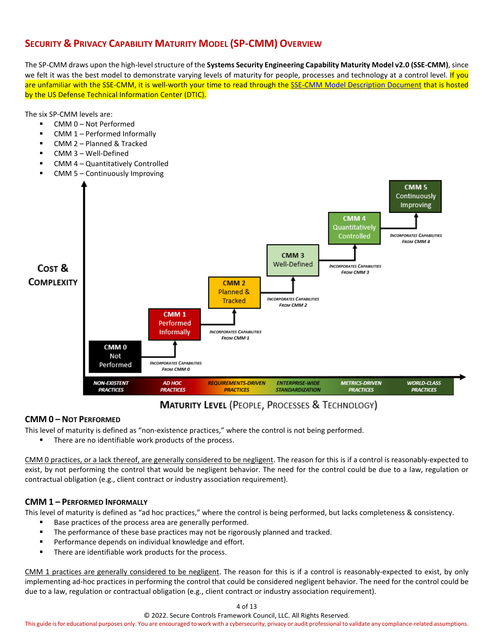# <span id="page-3-0"></span>**SECURITY & PRIVACY CAPABILITY MATURITY MODEL (SP-CMM) OVERVIEW**

The SP-CMM draws upon the high-level structure of the **Systems Security Engineering Capability Maturity Model v2.0 (SSE-CMM)**, since we felt it was the best model to demonstrate varying levels of maturity for people, processes and technology at a control level. If you are unfamiliar with the SSE-CMM, it is well-worth your time to read through th[e SSE-CMM Model Description Document](https://apps.dtic.mil/dtic/tr/fulltext/u2/a393329.pdf) that is hosted by the US Defense Technical Information Center (DTIC).

The six SP-CMM levels are:

- CMM 0 Not Performed
- CMM 1 Performed Informally
- CMM 2 Planned & Tracked
- CMM 3 Well-Defined
- CMM 4 Quantitatively Controlled



# **MATURITY LEVEL (PEOPLE, PROCESSES & TECHNOLOGY)**

# <span id="page-3-1"></span>**CMM 0 – NOT PERFORMED**

This level of maturity is defined as "non-existence practices," where the control is not being performed.

There are no identifiable work products of the process.

CMM 0 practices, or a lack thereof, are generally considered to be negligent. The reason for this is if a control is reasonably-expected to exist, by not performing the control that would be negligent behavior. The need for the control could be due to a law, regulation or contractual obligation (e.g., client contract or industry association requirement).

# <span id="page-3-2"></span>**CMM 1 – PERFORMED INFORMALLY**

This level of maturity is defined as "ad hoc practices," where the control is being performed, but lacks completeness & consistency.

- Base practices of the process area are generally performed.
- **The performance of these base practices may not be rigorously planned and tracked.**
- **Performance depends on individual knowledge and effort.**
- There are identifiable work products for the process.

CMM 1 practices are generally considered to be negligent. The reason for this is if a control is reasonably-expected to exist, by only implementing ad-hoc practices in performing the control that could be considered negligent behavior. The need for the control could be due to a law, regulation or contractual obligation (e.g., client contract or industry association requirement).

4 of 13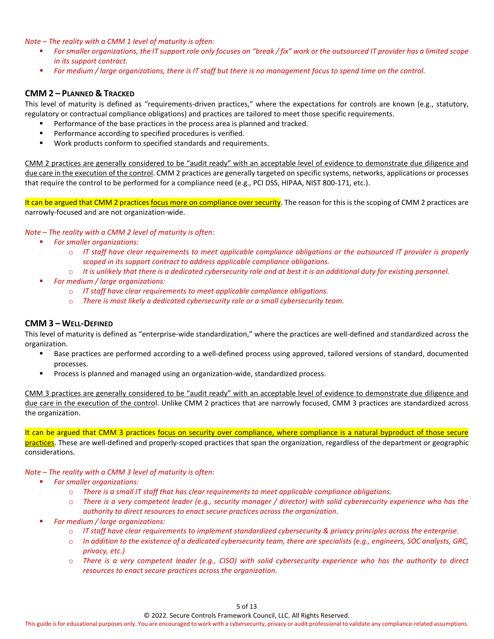*Note – The reality with a CMM 1 level of maturity is often:*

- *For smaller organizations, the IT support role only focuses on "break / fix" work or the outsourced IT provider has a limited scope in its support contract.*
- *For medium / large organizations, there is IT staff but there is no management focus to spend time on the control.*

# <span id="page-4-0"></span>**CMM 2 – PLANNED & TRACKED**

This level of maturity is defined as "requirements-driven practices," where the expectations for controls are known (e.g., statutory, regulatory or contractual compliance obligations) and practices are tailored to meet those specific requirements.

- Performance of the base practices in the process area is planned and tracked.
- Performance according to specified procedures is verified.
- Work products conform to specified standards and requirements.

CMM 2 practices are generally considered to be "audit ready" with an acceptable level of evidence to demonstrate due diligence and due care in the execution of the control. CMM 2 practices are generally targeted on specific systems, networks, applications or processes that require the control to be performed for a compliance need (e.g., PCI DSS, HIPAA, NIST 800-171, etc.).

It can be argued that CMM 2 practices focus more on compliance over security. The reason for this is the scoping of CMM 2 practices are narrowly-focused and are not organization-wide.

#### *Note – The reality with a CMM 2 level of maturity is often:*

- *For smaller organizations:*
	- o *IT staff have clear requirements to meet applicable compliance obligations or the outsourced IT provider is properly scoped in its support contract to address applicable compliance obligations.*
	- o *It is unlikely that there is a dedicated cybersecurity role and at best it is an additional duty for existing personnel.*
- *For medium / large organizations:*
	- o *IT staff have clear requirements to meet applicable compliance obligations.*
	- o *There is most likely a dedicated cybersecurity role or a small cybersecurity team.*

#### <span id="page-4-1"></span>**CMM 3 – WELL-DEFINED**

This level of maturity is defined as "enterprise-wide standardization," where the practices are well-defined and standardized across the organization.

- Base practices are performed according to a well-defined process using approved, tailored versions of standard, documented processes.
- **Process is planned and managed using an organization-wide, standardized process.**

CMM 3 practices are generally considered to be "audit ready" with an acceptable level of evidence to demonstrate due diligence and due care in the execution of the control. Unlike CMM 2 practices that are narrowly focused, CMM 3 practices are standardized across the organization.

It can be argued that CMM 3 practices focus on security over compliance, where compliance is a natural byproduct of those secure practices. These are well-defined and properly-scoped practices that span the organization, regardless of the department or geographic considerations.

#### *Note – The reality with a CMM 3 level of maturity is often:*

- *For smaller organizations:*
	- o *There is a small IT staff that has clear requirements to meet applicable compliance obligations.*
	- o *There is a very competent leader (e.g., security manager / director) with solid cybersecurity experience who has the authority to direct resources to enact secure practices across the organization.*
- *For medium / large organizations:*
	- o *IT staff have clear requirements to implement standardized cybersecurity & privacy principles across the enterprise.*
	- o *In addition to the existence of a dedicated cybersecurity team, there are specialists (e.g., engineers, SOC analysts, GRC, privacy, etc.)*
	- o *There is a very competent leader (e.g., CISO) with solid cybersecurity experience who has the authority to direct resources to enact secure practices across the organization.*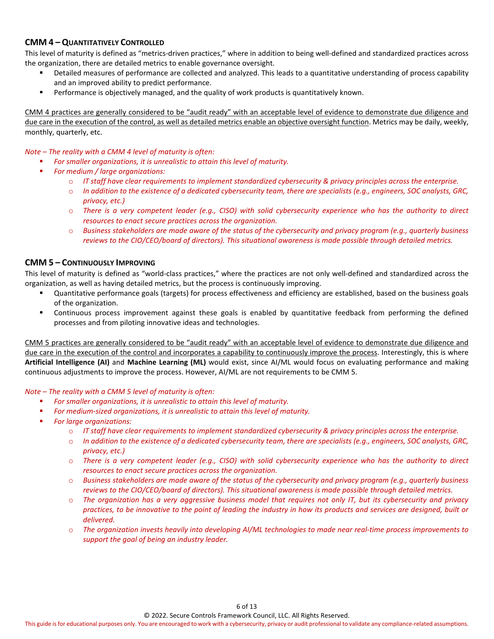# <span id="page-5-0"></span>**CMM 4 – QUANTITATIVELY CONTROLLED**

This level of maturity is defined as "metrics-driven practices," where in addition to being well-defined and standardized practices across the organization, there are detailed metrics to enable governance oversight.

- Detailed measures of performance are collected and analyzed. This leads to a quantitative understanding of process capability and an improved ability to predict performance.
- **Performance is objectively managed, and the quality of work products is quantitatively known.**

CMM 4 practices are generally considered to be "audit ready" with an acceptable level of evidence to demonstrate due diligence and due care in the execution of the control, as well as detailed metrics enable an objective oversight function. Metrics may be daily, weekly, monthly, quarterly, etc.

## *Note – The reality with a CMM 4 level of maturity is often:*

- *For smaller organizations, it is unrealistic to attain this level of maturity.*
- *For medium / large organizations:*
	- o *IT staff have clear requirements to implement standardized cybersecurity & privacy principles across the enterprise.*
	- o *In addition to the existence of a dedicated cybersecurity team, there are specialists (e.g., engineers, SOC analysts, GRC, privacy, etc.)*
	- o *There is a very competent leader (e.g., CISO) with solid cybersecurity experience who has the authority to direct resources to enact secure practices across the organization.*
	- o *Business stakeholders are made aware of the status of the cybersecurity and privacy program (e.g., quarterly business reviews to the CIO/CEO/board of directors). This situational awareness is made possible through detailed metrics.*

# <span id="page-5-1"></span>**CMM 5 – CONTINUOUSLY IMPROVING**

This level of maturity is defined as "world-class practices," where the practices are not only well-defined and standardized across the organization, as well as having detailed metrics, but the process is continuously improving.

- Quantitative performance goals (targets) for process effectiveness and efficiency are established, based on the business goals of the organization.
- Continuous process improvement against these goals is enabled by quantitative feedback from performing the defined processes and from piloting innovative ideas and technologies.

CMM 5 practices are generally considered to be "audit ready" with an acceptable level of evidence to demonstrate due diligence and due care in the execution of the control and incorporates a capability to continuously improve the process. Interestingly, this is where **Artificial Intelligence (AI)** and **Machine Learning (ML)** would exist, since AI/ML would focus on evaluating performance and making continuous adjustments to improve the process. However, AI/ML are not requirements to be CMM 5.

#### *Note – The reality with a CMM 5 level of maturity is often:*

- *For smaller organizations, it is unrealistic to attain this level of maturity.*
- *For medium-sized organizations, it is unrealistic to attain this level of maturity.*
- *For large organizations:*
	- o *IT staff have clear requirements to implement standardized cybersecurity & privacy principles across the enterprise.*
	- o *In addition to the existence of a dedicated cybersecurity team, there are specialists (e.g., engineers, SOC analysts, GRC, privacy, etc.)*
	- o *There is a very competent leader (e.g., CISO) with solid cybersecurity experience who has the authority to direct resources to enact secure practices across the organization.*
	- o *Business stakeholders are made aware of the status of the cybersecurity and privacy program (e.g., quarterly business reviews to the CIO/CEO/board of directors). This situational awareness is made possible through detailed metrics.*
	- o *The organization has a very aggressive business model that requires not only IT, but its cybersecurity and privacy practices, to be innovative to the point of leading the industry in how its products and services are designed, built or delivered.*
	- o *The organization invests heavily into developing AI/ML technologies to made near real-time process improvements to support the goal of being an industry leader.*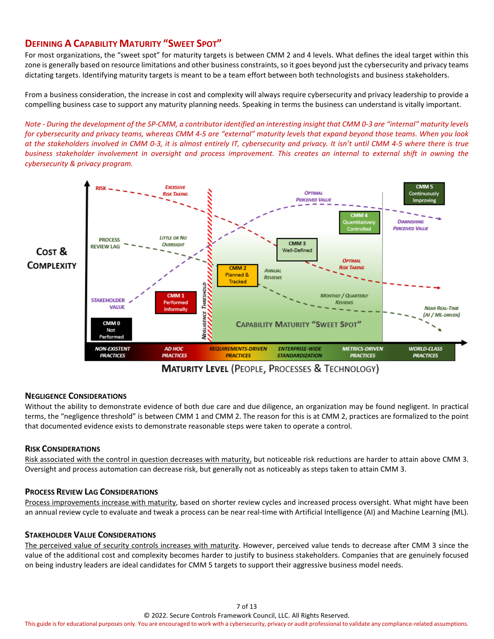# <span id="page-6-0"></span>**DEFINING A CAPABILITY MATURITY "SWEET SPOT"**

For most organizations, the "sweet spot" for maturity targets is between CMM 2 and 4 levels. What defines the ideal target within this zone is generally based on resource limitations and other business constraints, so it goes beyond just the cybersecurity and privacy teams dictating targets. Identifying maturity targets is meant to be a team effort between both technologists and business stakeholders.

From a business consideration, the increase in cost and complexity will always require cybersecurity and privacy leadership to provide a compelling business case to support any maturity planning needs. Speaking in terms the business can understand is vitally important.

*Note - During the development of the SP-CMM, a contributor identified an interesting insight that CMM 0-3 are "internal" maturity levels*  for cybersecurity and privacy teams, whereas CMM 4-5 are "external" maturity levels that expand beyond those teams. When you look *at the stakeholders involved in CMM 0-3, it is almost entirely IT, cybersecurity and privacy. It isn't until CMM 4-5 where there is true business stakeholder involvement in oversight and process improvement. This creates an internal to external shift in owning the cybersecurity & privacy program.*



**MATURITY LEVEL (PEOPLE, PROCESSES & TECHNOLOGY)** 

# <span id="page-6-1"></span>**NEGLIGENCE CONSIDERATIONS**

Without the ability to demonstrate evidence of both due care and due diligence, an organization may be found negligent. In practical terms, the "negligence threshold" is between CMM 1 and CMM 2. The reason for this is at CMM 2, practices are formalized to the point that documented evidence exists to demonstrate reasonable steps were taken to operate a control.

# <span id="page-6-2"></span>**RISK CONSIDERATIONS**

Risk associated with the control in question decreases with maturity, but noticeable risk reductions are harder to attain above CMM 3. Oversight and process automation can decrease risk, but generally not as noticeably as steps taken to attain CMM 3.

#### <span id="page-6-3"></span>**PROCESS REVIEW LAG CONSIDERATIONS**

Process improvements increase with maturity, based on shorter review cycles and increased process oversight. What might have been an annual review cycle to evaluate and tweak a process can be near real-time with Artificial Intelligence (AI) and Machine Learning (ML).

#### <span id="page-6-4"></span>**STAKEHOLDER VALUE CONSIDERATIONS**

The perceived value of security controls increases with maturity. However, perceived value tends to decrease after CMM 3 since the value of the additional cost and complexity becomes harder to justify to business stakeholders. Companies that are genuinely focused on being industry leaders are ideal candidates for CMM 5 targets to support their aggressive business model needs.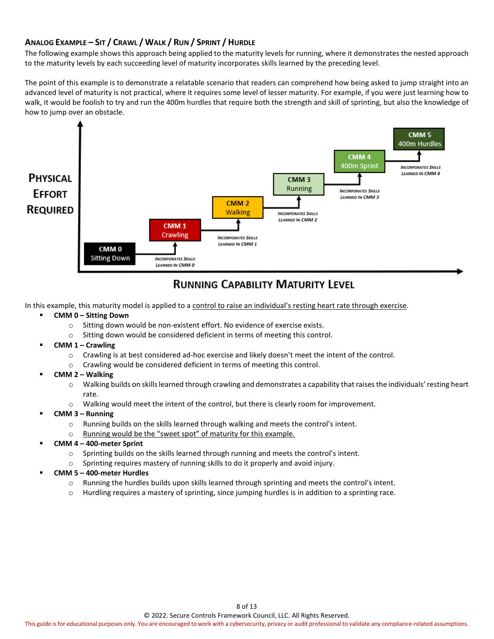# <span id="page-7-0"></span>**ANALOG EXAMPLE – SIT / CRAWL / WALK / RUN / SPRINT / HURDLE**

The following example shows this approach being applied to the maturity levels for running, where it demonstrates the nested approach to the maturity levels by each succeeding level of maturity incorporates skills learned by the preceding level.

The point of this example is to demonstrate a relatable scenario that readers can comprehend how being asked to jump straight into an advanced level of maturity is not practical, where it requires some level of lesser maturity. For example, if you were just learning how to walk, it would be foolish to try and run the 400m hurdles that require both the strength and skill of sprinting, but also the knowledge of how to jump over an obstacle.



# **RUNNING CAPABILITY MATURITY LEVEL**

In this example, this maturity model is applied to a control to raise an individual's resting heart rate through exercise.

- **CMM 0 – Sitting Down**
	- o Sitting down would be non-existent effort. No evidence of exercise exists.
	- o Sitting down would be considered deficient in terms of meeting this control.
- **CMM 1 – Crawling**
	- o Crawling is at best considered ad-hoc exercise and likely doesn't meet the intent of the control.
	- o Crawling would be considered deficient in terms of meeting this control.
- **CMM 2 – Walking**
	- o Walking builds on skills learned through crawling and demonstrates a capability that raises the individuals' resting heart rate.
	- o Walking would meet the intent of the control, but there is clearly room for improvement.
- **CMM 3 – Running**
	- o Running builds on the skills learned through walking and meets the control's intent.
	- o Running would be the "sweet spot" of maturity for this example.
- **CMM 4 – 400-meter Sprint**
	- o Sprinting builds on the skills learned through running and meets the control's intent.
	- o Sprinting requires mastery of running skills to do it properly and avoid injury.
- **CMM 5 – 400-meter Hurdles**
	- o Running the hurdles builds upon skills learned through sprinting and meets the control's intent.
	- o Hurdling requires a mastery of sprinting, since jumping hurdles is in addition to a sprinting race.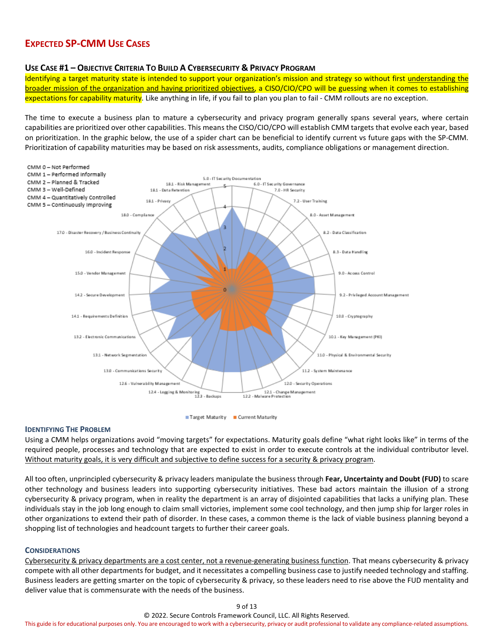# <span id="page-8-0"></span>**EXPECTED SP-CMM USE CASES**

#### <span id="page-8-1"></span>**USE CASE #1 – OBJECTIVE CRITERIA TO BUILD A CYBERSECURITY & PRIVACY PROGRAM**

Identifying a target maturity state is intended to support your organization's mission and strategy so without first understanding the broader mission of the organization and having prioritized objectives, a CISO/CIO/CPO will be guessing when it comes to establishing expectations for capability maturity. Like anything in life, if you fail to plan you plan to fail - CMM rollouts are no exception.

The time to execute a business plan to mature a cybersecurity and privacy program generally spans several years, where certain capabilities are prioritized over other capabilities. This means the CISO/CIO/CPO will establish CMM targets that evolve each year, based on prioritization. In the graphic below, the use of a spider chart can be beneficial to identify current vs future gaps with the SP-CMM. Prioritization of capability maturities may be based on risk assessments, audits, compliance obligations or management direction.





#### <span id="page-8-2"></span>**IDENTIFYING THE PROBLEM**

Using a CMM helps organizations avoid "moving targets" for expectations. Maturity goals define "what right looks like" in terms of the required people, processes and technology that are expected to exist in order to execute controls at the individual contributor level. Without maturity goals, it is very difficult and subjective to define success for a security & privacy program.

All too often, unprincipled cybersecurity & privacy leaders manipulate the business through **Fear, Uncertainty and Doubt (FUD)** to scare other technology and business leaders into supporting cybersecurity initiatives. These bad actors maintain the illusion of a strong cybersecurity & privacy program, when in reality the department is an array of disjointed capabilities that lacks a unifying plan. These individuals stay in the job long enough to claim small victories, implement some cool technology, and then jump ship for larger roles in other organizations to extend their path of disorder. In these cases, a common theme is the lack of viable business planning beyond a shopping list of technologies and headcount targets to further their career goals.

#### <span id="page-8-3"></span>**CONSIDERATIONS**

Cybersecurity & privacy departments are a cost center, not a revenue-generating business function. That means cybersecurity & privacy compete with all other departments for budget, and it necessitates a compelling business case to justify needed technology and staffing. Business leaders are getting smarter on the topic of cybersecurity & privacy, so these leaders need to rise above the FUD mentality and deliver value that is commensurate with the needs of the business.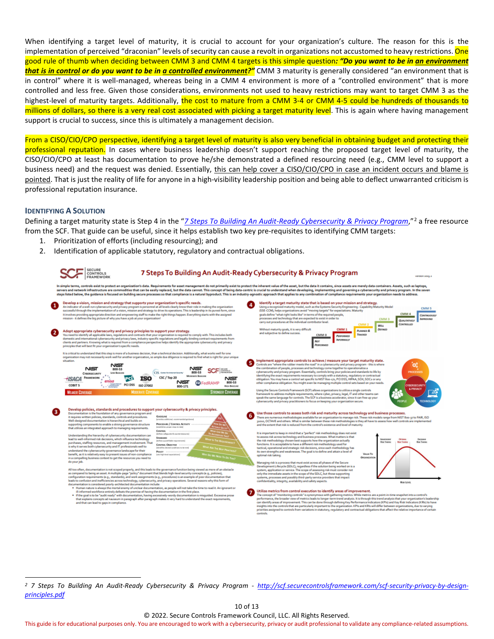When identifying a target level of maturity, it is crucial to account for your organization's culture. The reason for this is the implementation of perceived "draconian" levels of security can cause a revolt in organizations not accustomed to heavy restrictions. One good rule of thumb when deciding between CMM 3 and CMM 4 targets is this simple question*: "Do you want to be in an environment that is in control or do you want to be in a controlled environment?"* CMM 3 maturity is generally considered "an environment that is in control" where it is well-managed, whereas being in a CMM 4 environment is more of a "controlled environment" that is more controlled and less free. Given those considerations, environments not used to heavy restrictions may want to target CMM 3 as the highest-level of maturity targets. Additionally, the cost to mature from a CMM 3-4 or CMM 4-5 could be hundreds of thousands to millions of dollars, so there is a very real cost associated with picking a target maturity level. This is again where having management support is crucial to success, since this is ultimately a management decision.

From a CISO/CIO/CPO perspective, identifying a target level of maturity is also very beneficial in obtaining budget and protecting their professional reputation. In cases where business leadership doesn't support reaching the proposed target level of maturity, the CISO/CIO/CPO at least has documentation to prove he/she demonstrated a defined resourcing need (e.g., CMM level to support a business need) and the request was denied. Essentially, this can help cover a CISO/CIO/CPO in case an incident occurs and blame is pointed. That is just the reality of life for anyone in a high-visibility leadership position and being able to deflect unwarranted criticism is professional reputation insurance.

#### <span id="page-9-0"></span>**IDENTIFYING A SOLUTION**

Defining a target maturity state is Step 4 in the "*[7 Steps To Building An Audit-Ready Cybersecurity & Privacy Program](http://scf.securecontrolsframework.com/scf-security-privacy-by-design-principles.pdf)*,"[2](#page-9-1) a free resource from the SCF. That guide can be useful, since it helps establish two key pre-requisites to identifying CMM targets:

- 1. Prioritization of efforts (including resourcing); and
- 2. Identification of applicable statutory, regulatory and contractual obligations.



<span id="page-9-1"></span>*<sup>2</sup> 7 Steps To Building An Audit-Ready Cybersecurity & Privacy Program - [http://scf.securecontrolsframework.com/scf-security-privacy-by-design](http://scf.securecontrolsframework.com/scf-security-privacy-by-design-principles.pdf)[principles.pdf](http://scf.securecontrolsframework.com/scf-security-privacy-by-design-principles.pdf)*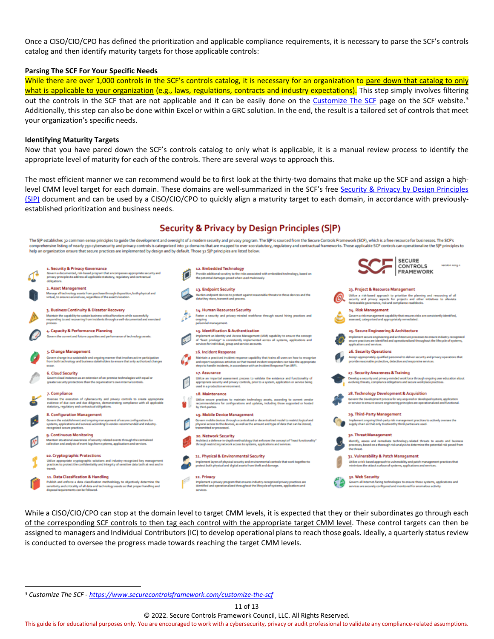Once a CISO/CIO/CPO has defined the prioritization and applicable compliance requirements, it is necessary to parse the SCF's controls catalog and then identify maturity targets for those applicable controls:

#### **Parsing The SCF For Your Specific Needs**

While there are over 1,000 controls in the SCF's controls catalog, it is necessary for an organization to pare down that catalog to only what is applicable to your organization (e.g., laws, regulations, contracts and industry expectations). This step simply involves filtering out the controls in the SCF that are not applicable and it can be easily done on the [Customize The SCF](https://www.securecontrolsframework.com/customize-the-scf) page on the SCF website.<sup>[3](#page-10-0)</sup> Additionally, this step can also be done within Excel or within a GRC solution. In the end, the result is a tailored set of controls that meet your organization's specific needs.

#### **Identifying Maturity Targets**

Now that you have pared down the SCF's controls catalog to only what is applicable, it is a manual review process to identify the appropriate level of maturity for each of the controls. There are several ways to approach this.

The most efficient manner we can recommend would be to first look at the thirty-two domains that make up the SCF and assign a highlevel CMM level target for each domain. These domains are well-summarized in the SCF's free [Security & Privacy by Design Principles](http://scf.securecontrolsframework.com/scf-security-privacy-by-design-principles.pdf)  [\(SIP\)](http://scf.securecontrolsframework.com/scf-security-privacy-by-design-principles.pdf) document and can be used by a CISO/CIO/CPO to quickly align a maturity target to each domain, in accordance with previouslyestablished prioritization and business needs.

# Security & Privacy by Design Principles (S|P)



While a CISO/CIO/CPO can stop at the domain level to target CMM levels, it is expected that they or their subordinates go through each of the corresponding SCF controls to then tag each control with the appropriate target CMM level. These control targets can then be assigned to managers and Individual Contributors (IC) to develop operational plans to reach those goals. Ideally, a quarterly status review is conducted to oversee the progress made towards reaching the target CMM levels.

11 of 13

© 2022. Secure Controls Framework Council, LLC. All Rights Reserved.

<span id="page-10-0"></span>*<sup>3</sup> Customize The SCF - <https://www.securecontrolsframework.com/customize-the-scf>*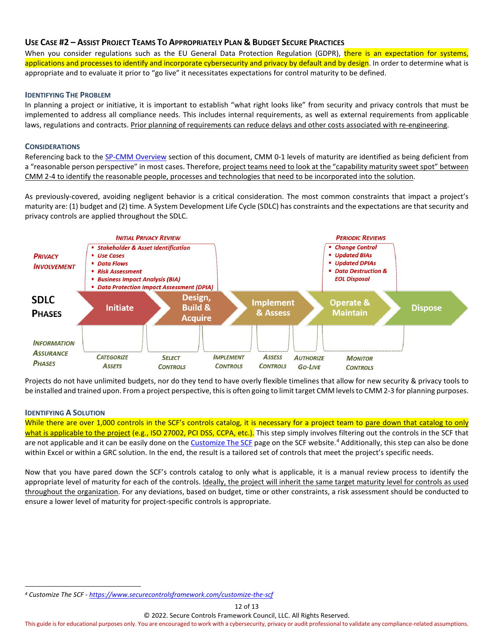# <span id="page-11-0"></span>**USE CASE #2 – ASSIST PROJECT TEAMS TO APPROPRIATELY PLAN & BUDGET SECURE PRACTICES**

When you consider regulations such as the EU General Data Protection Regulation (GDPR), there is an expectation for systems, applications and processes to identify and incorporate cybersecurity and privacy by default and by design. In order to determine what is appropriate and to evaluate it prior to "go live" it necessitates expectations for control maturity to be defined.

#### <span id="page-11-1"></span>**IDENTIFYING THE PROBLEM**

In planning a project or initiative, it is important to establish "what right looks like" from security and privacy controls that must be implemented to address all compliance needs. This includes internal requirements, as well as external requirements from applicable laws, regulations and contracts. Prior planning of requirements can reduce delays and other costs associated with re-engineering.

#### <span id="page-11-2"></span>**CONSIDERATIONS**

Referencing back to th[e SP-CMM Overview](#page-3-0) section of this document, CMM 0-1 levels of maturity are identified as being deficient from a "reasonable person perspective" in most cases. Therefore, project teams need to look at the "capability maturity sweet spot" between CMM 2-4 to identify the reasonable people, processes and technologies that need to be incorporated into the solution.

As previously-covered, avoiding negligent behavior is a critical consideration. The most common constraints that impact a project's maturity are: (1) budget and (2) time. A System Development Life Cycle (SDLC) has constraints and the expectations are that security and privacy controls are applied throughout the SDLC.



Projects do not have unlimited budgets, nor do they tend to have overly flexible timelines that allow for new security & privacy tools to be installed and trained upon. From a project perspective, this is often going to limit target CMM levels to CMM 2-3 for planning purposes.

#### <span id="page-11-3"></span>**IDENTIFYING A SOLUTION**

While there are over 1,000 controls in the SCF's controls catalog, it is necessary for a project team to pare down that catalog to only what is applicable to the project (e.g., ISO 27002, PCI DSS, CCPA, etc.). This step simply involves filtering out the controls in the SCF that are not applicable and it can be easily done on the [Customize The SCF](https://www.securecontrolsframework.com/customize-the-scf) page on the SCF website.<sup>[4](#page-11-4)</sup> Additionally, this step can also be done within Excel or within a GRC solution. In the end, the result is a tailored set of controls that meet the project's specific needs.

Now that you have pared down the SCF's controls catalog to only what is applicable, it is a manual review process to identify the appropriate level of maturity for each of the controls. Ideally, the project will inherit the same target maturity level for controls as used throughout the organization. For any deviations, based on budget, time or other constraints, a risk assessment should be conducted to ensure a lower level of maturity for project-specific controls is appropriate.

© 2022. Secure Controls Framework Council, LLC. All Rights Reserved.

<span id="page-11-4"></span>*<sup>4</sup> Customize The SCF - <https://www.securecontrolsframework.com/customize-the-scf>*